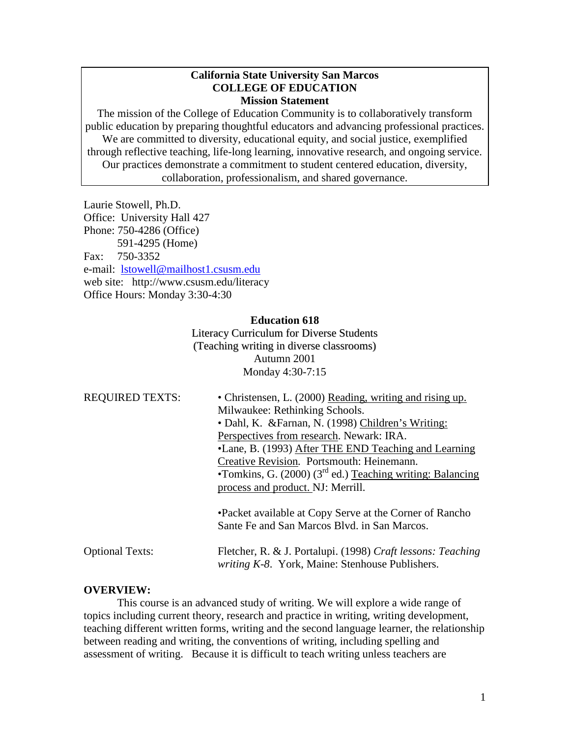### **California State University San Marcos COLLEGE OF EDUCATION Mission Statement**

The mission of the College of Education Community is to collaboratively transform public education by preparing thoughtful educators and advancing professional practices. We are committed to diversity, educational equity, and social justice, exemplified through reflective teaching, life-long learning, innovative research, and ongoing service. Our practices demonstrate a commitment to student centered education, diversity, collaboration, professionalism, and shared governance.

Laurie Stowell, Ph.D. Office: University Hall 427 Phone: 750-4286 (Office) 591-4295 (Home) Fax: 750-3352 e-mail: [lstowell@mailhost1.csusm.edu](mailto:lstowell@mailhost1.csusm.edu) web site: http://www.csusm.edu/literacy Office Hours: Monday 3:30-4:30

### **Education 618**

Literacy Curriculum for Diverse Students (Teaching writing in diverse classrooms) Autumn 2001 Monday 4:30-7:15

| <b>REQUIRED TEXTS:</b> | • Christensen, L. (2000) Reading, writing and rising up.                                                       |  |  |
|------------------------|----------------------------------------------------------------------------------------------------------------|--|--|
|                        | Milwaukee: Rethinking Schools.                                                                                 |  |  |
|                        | • Dahl, K. & Farnan, N. (1998) Children's Writing:                                                             |  |  |
|                        | Perspectives from research. Newark: IRA.                                                                       |  |  |
|                        | •Lane, B. (1993) After THE END Teaching and Learning                                                           |  |  |
|                        | Creative Revision. Portsmouth: Heinemann.                                                                      |  |  |
|                        | •Tomkins, G. $(2000)$ $(3rd$ ed.) Teaching writing: Balancing                                                  |  |  |
|                        | process and product. NJ: Merrill.                                                                              |  |  |
|                        | •Packet available at Copy Serve at the Corner of Rancho<br>Sante Fe and San Marcos Blvd. in San Marcos.        |  |  |
| <b>Optional Texts:</b> | Fletcher, R. & J. Portalupi. (1998) Craft lessons: Teaching<br>writing K-8. York, Maine: Stenhouse Publishers. |  |  |

### **OVERVIEW:**

This course is an advanced study of writing. We will explore a wide range of topics including current theory, research and practice in writing, writing development, teaching different written forms, writing and the second language learner, the relationship between reading and writing, the conventions of writing, including spelling and assessment of writing. Because it is difficult to teach writing unless teachers are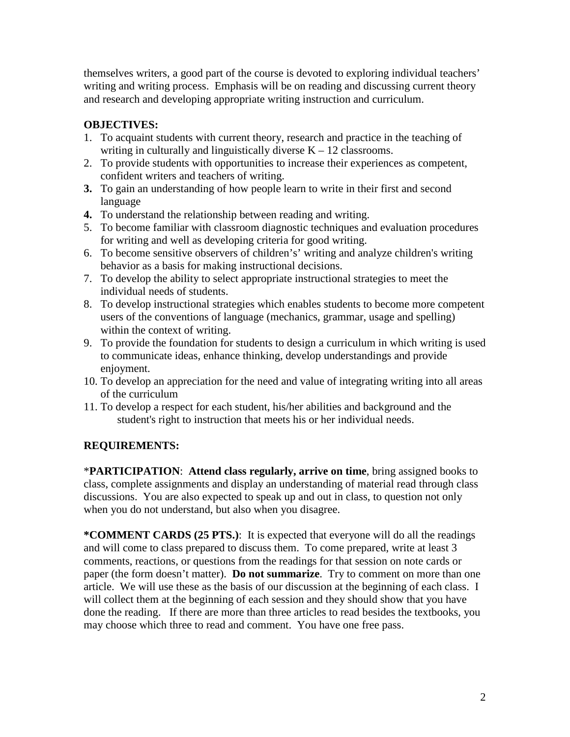themselves writers, a good part of the course is devoted to exploring individual teachers' writing and writing process. Emphasis will be on reading and discussing current theory and research and developing appropriate writing instruction and curriculum.

# **OBJECTIVES:**

- 1. To acquaint students with current theory, research and practice in the teaching of writing in culturally and linguistically diverse  $K - 12$  classrooms.
- 2. To provide students with opportunities to increase their experiences as competent, confident writers and teachers of writing.
- **3.** To gain an understanding of how people learn to write in their first and second language
- **4.** To understand the relationship between reading and writing.
- 5. To become familiar with classroom diagnostic techniques and evaluation procedures for writing and well as developing criteria for good writing.
- 6. To become sensitive observers of children's' writing and analyze children's writing behavior as a basis for making instructional decisions.
- 7. To develop the ability to select appropriate instructional strategies to meet the individual needs of students.
- 8. To develop instructional strategies which enables students to become more competent users of the conventions of language (mechanics, grammar, usage and spelling) within the context of writing.
- 9. To provide the foundation for students to design a curriculum in which writing is used to communicate ideas, enhance thinking, develop understandings and provide enjoyment.
- 10. To develop an appreciation for the need and value of integrating writing into all areas of the curriculum
- 11. To develop a respect for each student, his/her abilities and background and the student's right to instruction that meets his or her individual needs.

# **REQUIREMENTS:**

\***PARTICIPATION**: **Attend class regularly, arrive on time**, bring assigned books to class, complete assignments and display an understanding of material read through class discussions. You are also expected to speak up and out in class, to question not only when you do not understand, but also when you disagree.

**\*COMMENT CARDS (25 PTS.)**: It is expected that everyone will do all the readings and will come to class prepared to discuss them. To come prepared, write at least 3 comments, reactions, or questions from the readings for that session on note cards or paper (the form doesn't matter). **Do not summarize**. Try to comment on more than one article. We will use these as the basis of our discussion at the beginning of each class. I will collect them at the beginning of each session and they should show that you have done the reading. If there are more than three articles to read besides the textbooks, you may choose which three to read and comment. You have one free pass.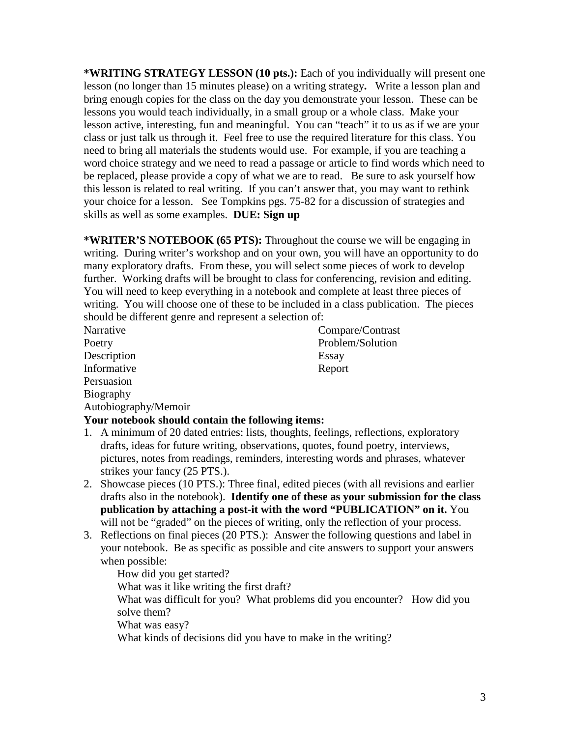**\*WRITING STRATEGY LESSON (10 pts.):** Each of you individually will present one lesson (no longer than 15 minutes please) on a writing strategy**.** Write a lesson plan and bring enough copies for the class on the day you demonstrate your lesson. These can be lessons you would teach individually, in a small group or a whole class. Make your lesson active, interesting, fun and meaningful. You can "teach" it to us as if we are your class or just talk us through it. Feel free to use the required literature for this class. You need to bring all materials the students would use. For example, if you are teaching a word choice strategy and we need to read a passage or article to find words which need to be replaced, please provide a copy of what we are to read. Be sure to ask yourself how this lesson is related to real writing. If you can't answer that, you may want to rethink your choice for a lesson. See Tompkins pgs. 75-82 for a discussion of strategies and skills as well as some examples. **DUE: Sign up**

**\*WRITER'S NOTEBOOK (65 PTS):** Throughout the course we will be engaging in writing. During writer's workshop and on your own, you will have an opportunity to do many exploratory drafts. From these, you will select some pieces of work to develop further. Working drafts will be brought to class for conferencing, revision and editing. You will need to keep everything in a notebook and complete at least three pieces of writing. You will choose one of these to be included in a class publication. The pieces should be different genre and represent a selection of:

Description Essay Informative Report Persuasion Biography Autobiography/Memoir

Narrative Compare/Contrast Poetry Problem/Solution

# **Your notebook should contain the following items:**

- 1. A minimum of 20 dated entries: lists, thoughts, feelings, reflections, exploratory drafts, ideas for future writing, observations, quotes, found poetry, interviews, pictures, notes from readings, reminders, interesting words and phrases, whatever strikes your fancy (25 PTS.).
- 2. Showcase pieces (10 PTS.): Three final, edited pieces (with all revisions and earlier drafts also in the notebook). **Identify one of these as your submission for the class publication by attaching a post-it with the word "PUBLICATION" on it.** You will not be "graded" on the pieces of writing, only the reflection of your process.
- 3. Reflections on final pieces (20 PTS.): Answer the following questions and label in your notebook. Be as specific as possible and cite answers to support your answers when possible:

How did you get started? What was it like writing the first draft? What was difficult for you? What problems did you encounter? How did you solve them? What was easy? What kinds of decisions did you have to make in the writing?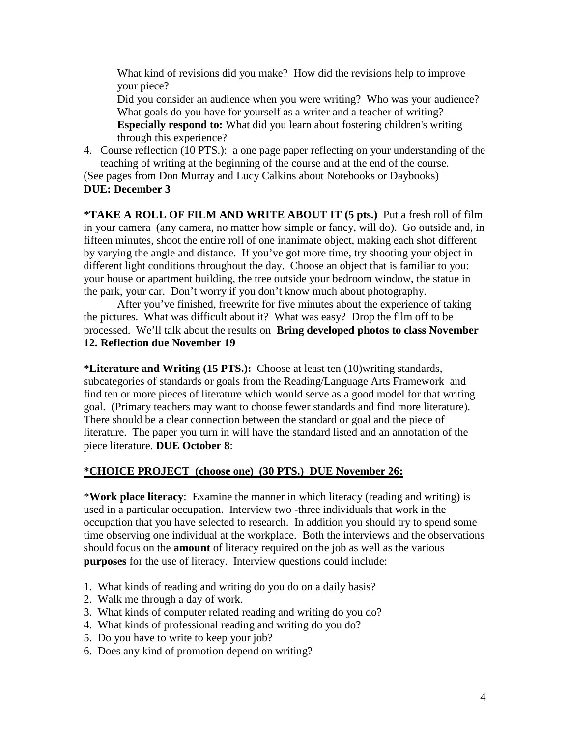What kind of revisions did you make? How did the revisions help to improve your piece?

Did you consider an audience when you were writing? Who was your audience? What goals do you have for yourself as a writer and a teacher of writing? **Especially respond to:** What did you learn about fostering children's writing through this experience?

4. Course reflection (10 PTS.): a one page paper reflecting on your understanding of the teaching of writing at the beginning of the course and at the end of the course.

(See pages from Don Murray and Lucy Calkins about Notebooks or Daybooks) **DUE: December 3**

**\*TAKE A ROLL OF FILM AND WRITE ABOUT IT (5 pts.)** Put a fresh roll of film in your camera (any camera, no matter how simple or fancy, will do). Go outside and, in fifteen minutes, shoot the entire roll of one inanimate object, making each shot different by varying the angle and distance. If you've got more time, try shooting your object in different light conditions throughout the day. Choose an object that is familiar to you: your house or apartment building, the tree outside your bedroom window, the statue in the park, your car. Don't worry if you don't know much about photography.

After you've finished, freewrite for five minutes about the experience of taking the pictures. What was difficult about it? What was easy? Drop the film off to be processed. We'll talk about the results on **Bring developed photos to class November 12. Reflection due November 19**

**\*Literature and Writing (15 PTS.):** Choose at least ten (10)writing standards, subcategories of standards or goals from the Reading/Language Arts Framework and find ten or more pieces of literature which would serve as a good model for that writing goal. (Primary teachers may want to choose fewer standards and find more literature). There should be a clear connection between the standard or goal and the piece of literature. The paper you turn in will have the standard listed and an annotation of the piece literature. **DUE October 8**:

## **\*CHOICE PROJECT (choose one) (30 PTS.) DUE November 26:**

\***Work place literacy**: Examine the manner in which literacy (reading and writing) is used in a particular occupation. Interview two -three individuals that work in the occupation that you have selected to research. In addition you should try to spend some time observing one individual at the workplace. Both the interviews and the observations should focus on the **amount** of literacy required on the job as well as the various **purposes** for the use of literacy. Interview questions could include:

- 1. What kinds of reading and writing do you do on a daily basis?
- 2. Walk me through a day of work.
- 3. What kinds of computer related reading and writing do you do?
- 4. What kinds of professional reading and writing do you do?
- 5. Do you have to write to keep your job?
- 6. Does any kind of promotion depend on writing?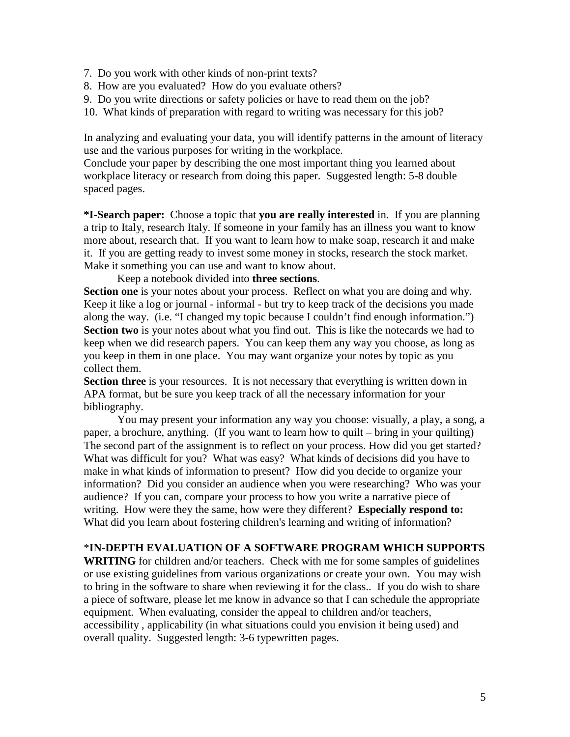- 7. Do you work with other kinds of non-print texts?
- 8. How are you evaluated? How do you evaluate others?
- 9. Do you write directions or safety policies or have to read them on the job?
- 10. What kinds of preparation with regard to writing was necessary for this job?

In analyzing and evaluating your data, you will identify patterns in the amount of literacy use and the various purposes for writing in the workplace.

Conclude your paper by describing the one most important thing you learned about workplace literacy or research from doing this paper. Suggested length: 5-8 double spaced pages.

**\*I-Search paper:** Choose a topic that **you are really interested** in. If you are planning a trip to Italy, research Italy. If someone in your family has an illness you want to know more about, research that. If you want to learn how to make soap, research it and make it. If you are getting ready to invest some money in stocks, research the stock market. Make it something you can use and want to know about.

Keep a notebook divided into **three sections**.

**Section one** is your notes about your process. Reflect on what you are doing and why. Keep it like a log or journal - informal - but try to keep track of the decisions you made along the way. (i.e. "I changed my topic because I couldn't find enough information.") **Section two** is your notes about what you find out. This is like the notecards we had to keep when we did research papers. You can keep them any way you choose, as long as you keep in them in one place. You may want organize your notes by topic as you collect them.

**Section three** is your resources. It is not necessary that everything is written down in APA format, but be sure you keep track of all the necessary information for your bibliography.

You may present your information any way you choose: visually, a play, a song, a paper, a brochure, anything. (If you want to learn how to quilt – bring in your quilting) The second part of the assignment is to reflect on your process. How did you get started? What was difficult for you? What was easy? What kinds of decisions did you have to make in what kinds of information to present? How did you decide to organize your information? Did you consider an audience when you were researching? Who was your audience? If you can, compare your process to how you write a narrative piece of writing. How were they the same, how were they different? **Especially respond to:** What did you learn about fostering children's learning and writing of information?

### \***IN-DEPTH EVALUATION OF A SOFTWARE PROGRAM WHICH SUPPORTS**

**WRITING** for children and/or teachers. Check with me for some samples of guidelines or use existing guidelines from various organizations or create your own. You may wish to bring in the software to share when reviewing it for the class.. If you do wish to share a piece of software, please let me know in advance so that I can schedule the appropriate equipment. When evaluating, consider the appeal to children and/or teachers, accessibility , applicability (in what situations could you envision it being used) and overall quality. Suggested length: 3-6 typewritten pages.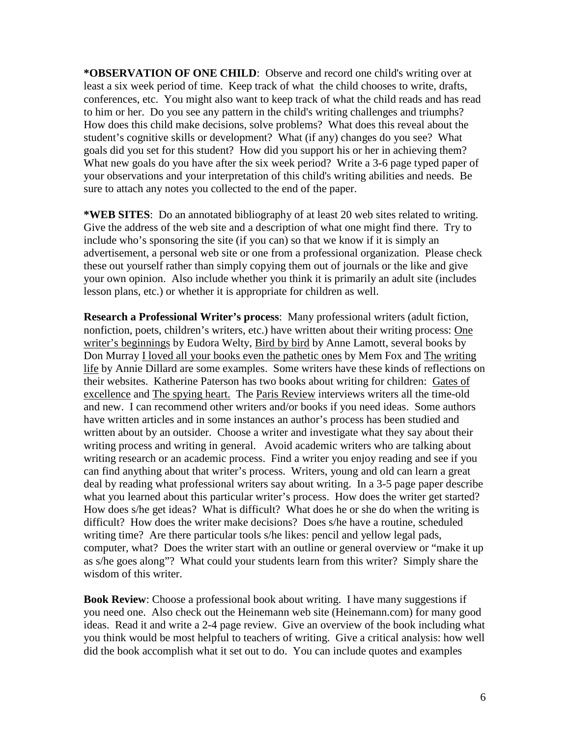**\*OBSERVATION OF ONE CHILD**: Observe and record one child's writing over at least a six week period of time. Keep track of what the child chooses to write, drafts, conferences, etc. You might also want to keep track of what the child reads and has read to him or her. Do you see any pattern in the child's writing challenges and triumphs? How does this child make decisions, solve problems? What does this reveal about the student's cognitive skills or development? What (if any) changes do you see? What goals did you set for this student? How did you support his or her in achieving them? What new goals do you have after the six week period? Write a 3-6 page typed paper of your observations and your interpretation of this child's writing abilities and needs. Be sure to attach any notes you collected to the end of the paper.

**\*WEB SITES**: Do an annotated bibliography of at least 20 web sites related to writing. Give the address of the web site and a description of what one might find there. Try to include who's sponsoring the site (if you can) so that we know if it is simply an advertisement, a personal web site or one from a professional organization. Please check these out yourself rather than simply copying them out of journals or the like and give your own opinion. Also include whether you think it is primarily an adult site (includes lesson plans, etc.) or whether it is appropriate for children as well.

**Research a Professional Writer's process**: Many professional writers (adult fiction, nonfiction, poets, children's writers, etc.) have written about their writing process: One writer's beginnings by Eudora Welty, Bird by bird by Anne Lamott, several books by Don Murray I loved all your books even the pathetic ones by Mem Fox and The writing life by Annie Dillard are some examples. Some writers have these kinds of reflections on their websites. Katherine Paterson has two books about writing for children: Gates of excellence and The spying heart. The Paris Review interviews writers all the time-old and new. I can recommend other writers and/or books if you need ideas. Some authors have written articles and in some instances an author's process has been studied and written about by an outsider. Choose a writer and investigate what they say about their writing process and writing in general. Avoid academic writers who are talking about writing research or an academic process. Find a writer you enjoy reading and see if you can find anything about that writer's process. Writers, young and old can learn a great deal by reading what professional writers say about writing. In a 3-5 page paper describe what you learned about this particular writer's process. How does the writer get started? How does s/he get ideas? What is difficult? What does he or she do when the writing is difficult? How does the writer make decisions? Does s/he have a routine, scheduled writing time? Are there particular tools s/he likes: pencil and yellow legal pads, computer, what? Does the writer start with an outline or general overview or "make it up as s/he goes along"? What could your students learn from this writer? Simply share the wisdom of this writer.

**Book Review**: Choose a professional book about writing. I have many suggestions if you need one. Also check out the Heinemann web site (Heinemann.com) for many good ideas. Read it and write a 2-4 page review. Give an overview of the book including what you think would be most helpful to teachers of writing. Give a critical analysis: how well did the book accomplish what it set out to do. You can include quotes and examples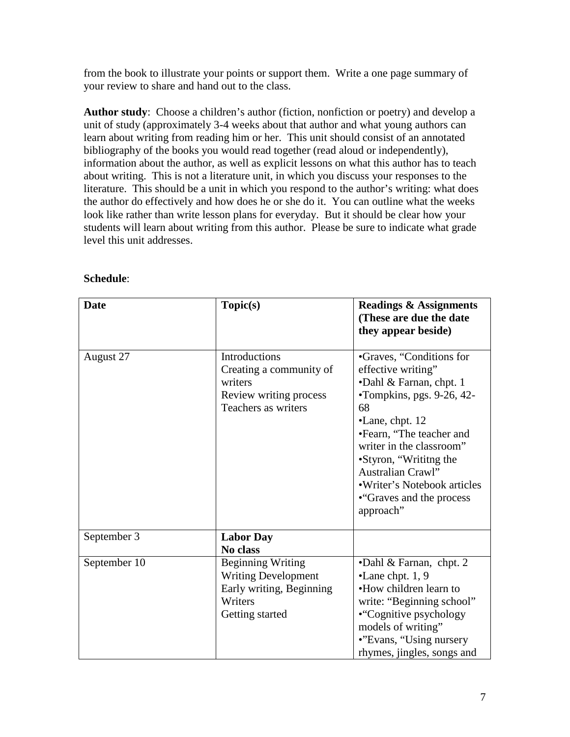from the book to illustrate your points or support them. Write a one page summary of your review to share and hand out to the class.

**Author study**: Choose a children's author (fiction, nonfiction or poetry) and develop a unit of study (approximately 3-4 weeks about that author and what young authors can learn about writing from reading him or her. This unit should consist of an annotated bibliography of the books you would read together (read aloud or independently), information about the author, as well as explicit lessons on what this author has to teach about writing. This is not a literature unit, in which you discuss your responses to the literature. This should be a unit in which you respond to the author's writing: what does the author do effectively and how does he or she do it. You can outline what the weeks look like rather than write lesson plans for everyday. But it should be clear how your students will learn about writing from this author. Please be sure to indicate what grade level this unit addresses.

| <b>Date</b>  | Topic(s)                                                                                                         | <b>Readings &amp; Assignments</b><br>(These are due the date<br>they appear beside)                                                                                                                                                                                                                                                      |
|--------------|------------------------------------------------------------------------------------------------------------------|------------------------------------------------------------------------------------------------------------------------------------------------------------------------------------------------------------------------------------------------------------------------------------------------------------------------------------------|
| August 27    | <b>Introductions</b><br>Creating a community of<br>writers<br>Review writing process<br>Teachers as writers      | •Graves, "Conditions for<br>effective writing"<br>•Dahl & Farnan, chpt. 1<br>$\cdot$ Tompkins, pgs. 9-26, 42-<br>68<br>$\bullet$ Lane, chpt. 12<br>•Fearn, "The teacher and<br>writer in the classroom"<br>•Styron, "Writitng the<br><b>Australian Crawl"</b><br>• Writer's Notebook articles<br>• "Graves and the process"<br>approach" |
| September 3  | <b>Labor Day</b><br>No class                                                                                     |                                                                                                                                                                                                                                                                                                                                          |
| September 10 | <b>Beginning Writing</b><br><b>Writing Development</b><br>Early writing, Beginning<br>Writers<br>Getting started | • Dahl $& Farnan$ , chpt. 2<br>$\bullet$ Lane chpt. 1, 9<br>•How children learn to<br>write: "Beginning school"<br>• "Cognitive psychology<br>models of writing"<br>•"Evans, "Using nursery"<br>rhymes, jingles, songs and                                                                                                               |

## **Schedule**: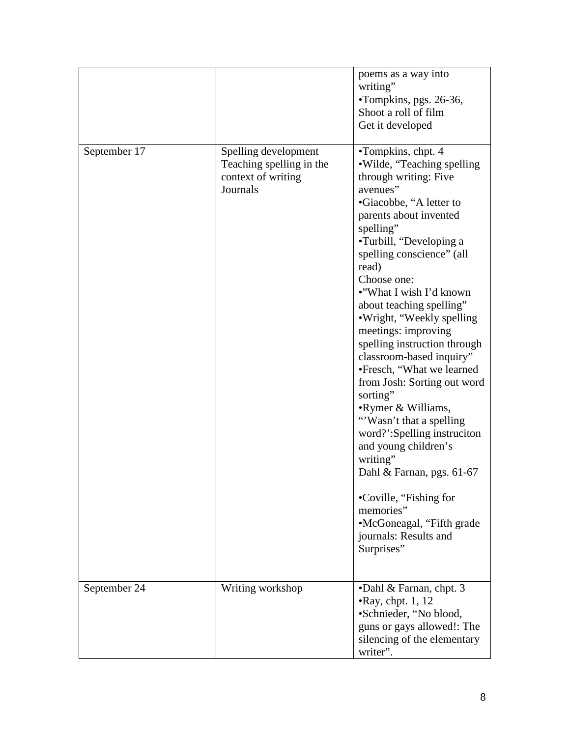|              |                                                                                    | poems as a way into<br>writing"<br>•Tompkins, pgs. 26-36,<br>Shoot a roll of film<br>Get it developed                                                                                                                                                                                                                                                                                                                                                                                                                                                                                                                                                                                                                                                |
|--------------|------------------------------------------------------------------------------------|------------------------------------------------------------------------------------------------------------------------------------------------------------------------------------------------------------------------------------------------------------------------------------------------------------------------------------------------------------------------------------------------------------------------------------------------------------------------------------------------------------------------------------------------------------------------------------------------------------------------------------------------------------------------------------------------------------------------------------------------------|
| September 17 | Spelling development<br>Teaching spelling in the<br>context of writing<br>Journals | •Tompkins, chpt. 4<br>·Wilde, "Teaching spelling<br>through writing: Five<br>avenues"<br>•Giacobbe, "A letter to<br>parents about invented<br>spelling"<br>•Turbill, "Developing a<br>spelling conscience" (all<br>read)<br>Choose one:<br>•"What I wish I'd known<br>about teaching spelling"<br>•Wright, "Weekly spelling<br>meetings: improving<br>spelling instruction through<br>classroom-based inquiry"<br>•Fresch, "What we learned<br>from Josh: Sorting out word<br>sorting"<br>•Rymer & Williams,<br>"Wasn't that a spelling"<br>word?':Spelling instruciton<br>and young children's<br>writing"<br>Dahl & Farnan, pgs. 61-67<br>•Coville, "Fishing for<br>memories"<br>•McGoneagal, "Fifth grade"<br>journals: Results and<br>Surprises" |
| September 24 | Writing workshop                                                                   | •Dahl & Farnan, chpt. 3<br>$\cdot$ Ray, chpt. 1, 12<br>•Schnieder, "No blood,<br>guns or gays allowed!: The<br>silencing of the elementary<br>writer".                                                                                                                                                                                                                                                                                                                                                                                                                                                                                                                                                                                               |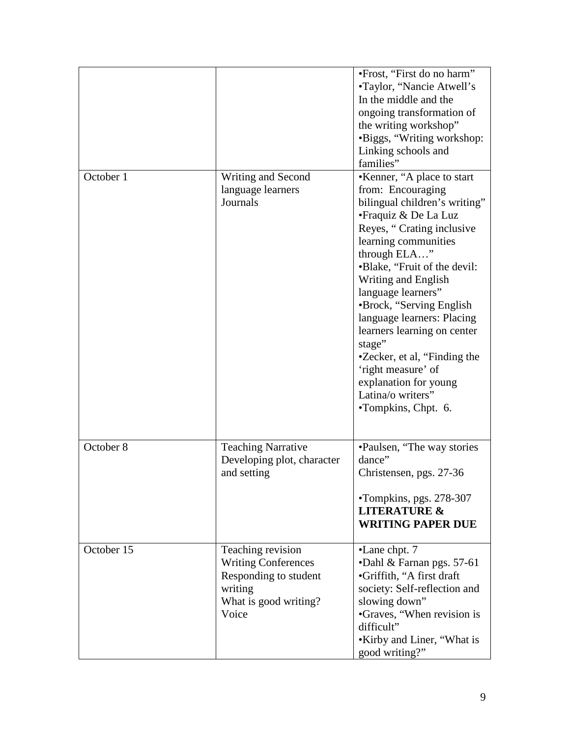|            |                                                                                                                       | • Frost, "First do no harm"<br>•Taylor, "Nancie Atwell's<br>In the middle and the<br>ongoing transformation of<br>the writing workshop"<br>•Biggs, "Writing workshop:<br>Linking schools and<br>families"                                                                                                                                                                                                                                                                                 |
|------------|-----------------------------------------------------------------------------------------------------------------------|-------------------------------------------------------------------------------------------------------------------------------------------------------------------------------------------------------------------------------------------------------------------------------------------------------------------------------------------------------------------------------------------------------------------------------------------------------------------------------------------|
| October 1  | Writing and Second<br>language learners<br>Journals                                                                   | •Kenner, "A place to start<br>from: Encouraging<br>bilingual children's writing"<br>• Fraquiz & De La Luz<br>Reyes, "Crating inclusive<br>learning communities<br>through ELA"<br>•Blake, "Fruit of the devil:<br>Writing and English<br>language learners"<br>•Brock, "Serving English<br>language learners: Placing<br>learners learning on center<br>stage"<br>•Zecker, et al, "Finding the<br>'right measure' of<br>explanation for young<br>Latina/o writers"<br>•Tompkins, Chpt. 6. |
| October 8  | <b>Teaching Narrative</b><br>Developing plot, character<br>and setting                                                | •Paulsen, "The way stories<br>dance"<br>Christensen, pgs. 27-36<br>•Tompkins, pgs. 278-307<br><b>LITERATURE &amp;</b><br><b>WRITING PAPER DUE</b>                                                                                                                                                                                                                                                                                                                                         |
| October 15 | Teaching revision<br><b>Writing Conferences</b><br>Responding to student<br>writing<br>What is good writing?<br>Voice | •Lane chpt. 7<br>•Dahl & Farnan pgs. 57-61<br>•Griffith, "A first draft<br>society: Self-reflection and<br>slowing down"<br>•Graves, "When revision is<br>difficult"<br>•Kirby and Liner, "What is<br>good writing?"                                                                                                                                                                                                                                                                      |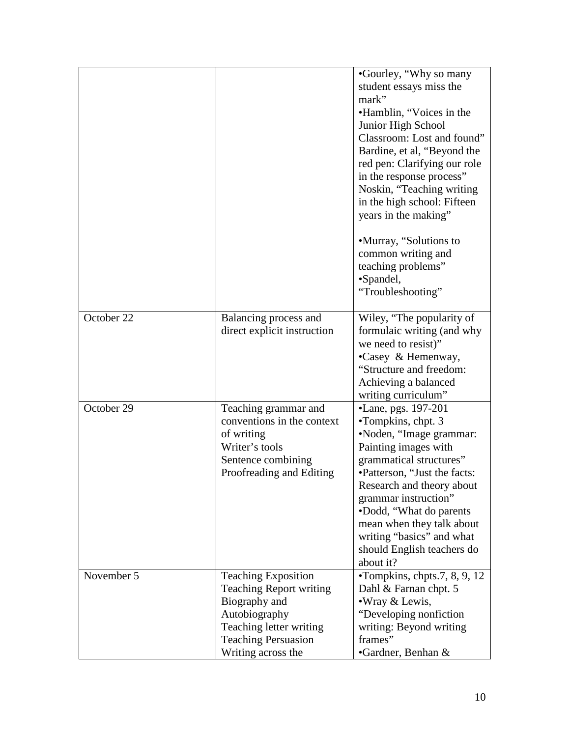|            |                                | •Gourley, "Why so many<br>student essays miss the       |
|------------|--------------------------------|---------------------------------------------------------|
|            |                                | mark"                                                   |
|            |                                | •Hamblin, "Voices in the                                |
|            |                                | Junior High School                                      |
|            |                                | Classroom: Lost and found"                              |
|            |                                | Bardine, et al, "Beyond the                             |
|            |                                | red pen: Clarifying our role                            |
|            |                                | in the response process"                                |
|            |                                | Noskin, "Teaching writing                               |
|            |                                | in the high school: Fifteen                             |
|            |                                | years in the making"                                    |
|            |                                |                                                         |
|            |                                | •Murray, "Solutions to                                  |
|            |                                | common writing and                                      |
|            |                                | teaching problems"                                      |
|            |                                | •Spandel,                                               |
|            |                                | "Troubleshooting"                                       |
| October 22 | Balancing process and          | Wiley, "The popularity of                               |
|            | direct explicit instruction    | formulaic writing (and why                              |
|            |                                | we need to resist)"                                     |
|            |                                | •Casey & Hemenway,                                      |
|            |                                | "Structure and freedom:                                 |
|            |                                | Achieving a balanced                                    |
|            |                                | writing curriculum"                                     |
| October 29 | Teaching grammar and           | •Lane, pgs. 197-201                                     |
|            | conventions in the context     | •Tompkins, chpt. 3                                      |
|            | of writing                     | •Noden, "Image grammar:                                 |
|            | Writer's tools                 | Painting images with                                    |
|            | Sentence combining             | grammatical structures"                                 |
|            | Proofreading and Editing       | •Patterson, "Just the facts:                            |
|            |                                | Research and theory about                               |
|            |                                | grammar instruction"                                    |
|            |                                | •Dodd, "What do parents"                                |
|            |                                | mean when they talk about                               |
|            |                                | writing "basics" and what<br>should English teachers do |
|            |                                | about it?                                               |
| November 5 | <b>Teaching Exposition</b>     | $\cdot$ Tompkins, chpts.7, 8, 9, 12                     |
|            | <b>Teaching Report writing</b> | Dahl & Farnan chpt. 5                                   |
|            | Biography and                  | • Wray & Lewis,                                         |
|            | Autobiography                  | "Developing nonfiction"                                 |
|            | Teaching letter writing        | writing: Beyond writing                                 |
|            | <b>Teaching Persuasion</b>     | frames"                                                 |
|            | Writing across the             | •Gardner, Benhan &                                      |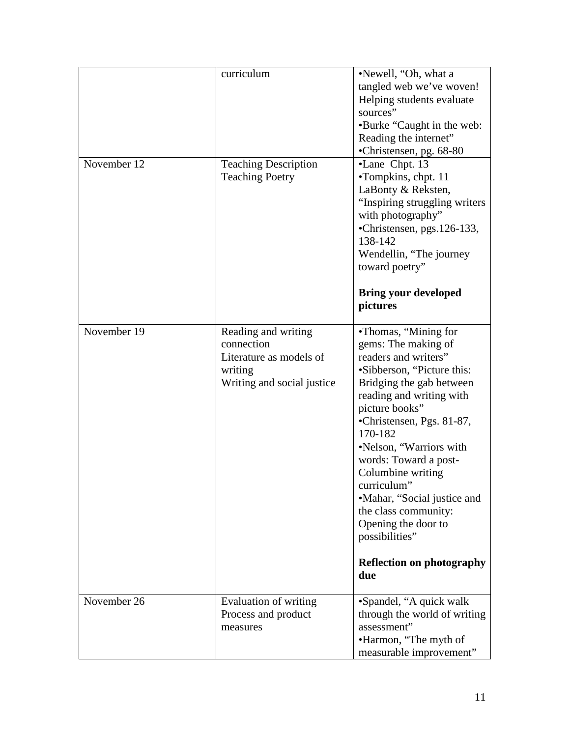|             | curriculum                                                                                            | ·Newell, "Oh, what a<br>tangled web we've woven!<br>Helping students evaluate<br>sources"<br>•Burke "Caught in the web:<br>Reading the internet"<br>•Christensen, pg. 68-80                                                                                                                                                                                                                                                                            |
|-------------|-------------------------------------------------------------------------------------------------------|--------------------------------------------------------------------------------------------------------------------------------------------------------------------------------------------------------------------------------------------------------------------------------------------------------------------------------------------------------------------------------------------------------------------------------------------------------|
| November 12 | <b>Teaching Description</b><br><b>Teaching Poetry</b>                                                 | •Lane Chpt. 13<br>•Tompkins, chpt. 11<br>LaBonty & Reksten,<br>"Inspiring struggling writers<br>with photography"<br>•Christensen, pgs.126-133,<br>138-142<br>Wendellin, "The journey"<br>toward poetry"<br><b>Bring your developed</b><br>pictures                                                                                                                                                                                                    |
| November 19 | Reading and writing<br>connection<br>Literature as models of<br>writing<br>Writing and social justice | •Thomas, "Mining for<br>gems: The making of<br>readers and writers"<br>•Sibberson, "Picture this:<br>Bridging the gab between<br>reading and writing with<br>picture books"<br>•Christensen, Pgs. 81-87,<br>170-182<br>•Nelson, "Warriors with<br>words: Toward a post-<br>Columbine writing<br>curriculum"<br>•Mahar, "Social justice and<br>the class community:<br>Opening the door to<br>possibilities"<br><b>Reflection on photography</b><br>due |
| November 26 | Evaluation of writing<br>Process and product<br>measures                                              | •Spandel, "A quick walk<br>through the world of writing<br>assessment"<br>•Harmon, "The myth of<br>measurable improvement"                                                                                                                                                                                                                                                                                                                             |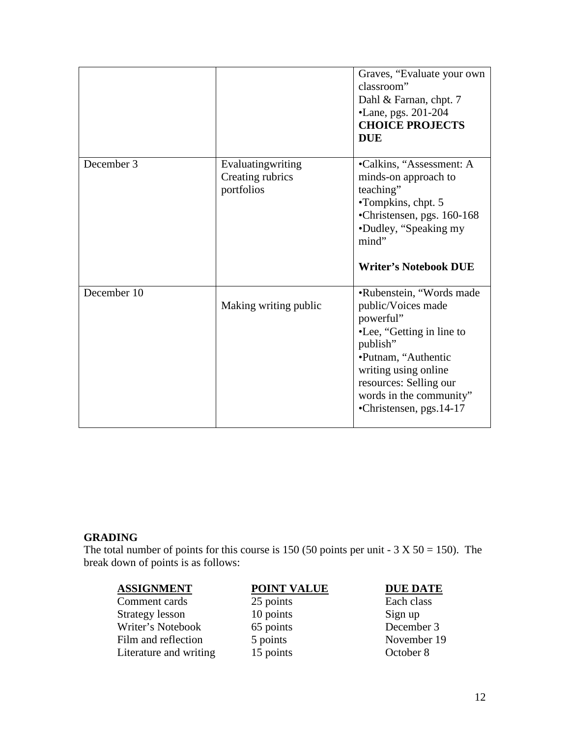|             |                                                     | Graves, "Evaluate your own<br>classroom"<br>Dahl & Farnan, chpt. 7<br>•Lane, pgs. 201-204<br><b>CHOICE PROJECTS</b><br><b>DUE</b>                                                                                                    |
|-------------|-----------------------------------------------------|--------------------------------------------------------------------------------------------------------------------------------------------------------------------------------------------------------------------------------------|
| December 3  | Evaluatingwriting<br>Creating rubrics<br>portfolios | •Calkins, "Assessment: A<br>minds-on approach to<br>teaching"<br>•Tompkins, chpt. 5<br>•Christensen, pgs. 160-168<br>•Dudley, "Speaking my<br>mind"<br><b>Writer's Notebook DUE</b>                                                  |
| December 10 | Making writing public                               | •Rubenstein, "Words made<br>public/Voices made<br>powerful"<br>•Lee, "Getting in line to<br>publish"<br>•Putnam, "Authentic<br>writing using online<br>resources: Selling our<br>words in the community"<br>•Christensen, pgs. 14-17 |

## **GRADING**

The total number of points for this course is 150 (50 points per unit -  $3 \text{ X } 50 = 150$ ). The break down of points is as follows:

**ASSIGNMENT**<br>
Comment cards  $\begin{array}{ccc}\n & 25 \text{ points} & \text{DUE}\n\end{array}$ <br> **POINT VALUE**<br>
Each class Comment cards 25 points Each class Each class Each class Each class Each class Changes Each class Each class Changes Each class Changes Each class Changes Each class Each class Changes Each class Changes Each class Changes Strategy lesson 10 points Sign up<br>Writer's Notebook 65 points December 3 Writer's Notebook 65 points<br>
Film and reflection 5 points Film and reflection 5 points November 19<br>
Literature and writing 15 points October 8 Literature and writing 15 points October 8